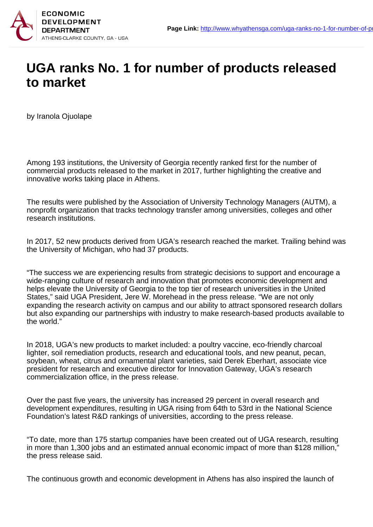

## **UGA ranks No. 1 for number of products released to market**

by Iranola Ojuolape

Among 193 institutions, the University of Georgia recently ranked first for the number of commercial products released to the market in 2017, further highlighting the creative and innovative works taking place in Athens.

The results were published by the Association of University Technology Managers (AUTM), a nonprofit organization that tracks technology transfer among universities, colleges and other research institutions.

In 2017, 52 new products derived from UGA's research reached the market. Trailing behind was the University of Michigan, who had 37 products.

"The success we are experiencing results from strategic decisions to support and encourage a wide-ranging culture of research and innovation that promotes economic development and helps elevate the University of Georgia to the top tier of research universities in the United States," said UGA President, Jere W. Morehead in the press release. "We are not only expanding the research activity on campus and our ability to attract sponsored research dollars but also expanding our partnerships with industry to make research-based products available to the world."

In 2018, UGA's new products to market included: a poultry vaccine, eco-friendly charcoal lighter, soil remediation products, research and educational tools, and new peanut, pecan, soybean, wheat, citrus and ornamental plant varieties, said Derek Eberhart, associate vice president for research and executive director for Innovation Gateway, UGA's research commercialization office, in the press release.

Over the past five years, the university has increased 29 percent in overall research and development expenditures, resulting in UGA rising from 64th to 53rd in the National Science Foundation's latest R&D rankings of universities, according to the press release.

"To date, more than 175 startup companies have been created out of UGA research, resulting in more than 1,300 jobs and an estimated annual economic impact of more than \$128 million," the press release said.

The continuous growth and economic development in Athens has also inspired the launch of